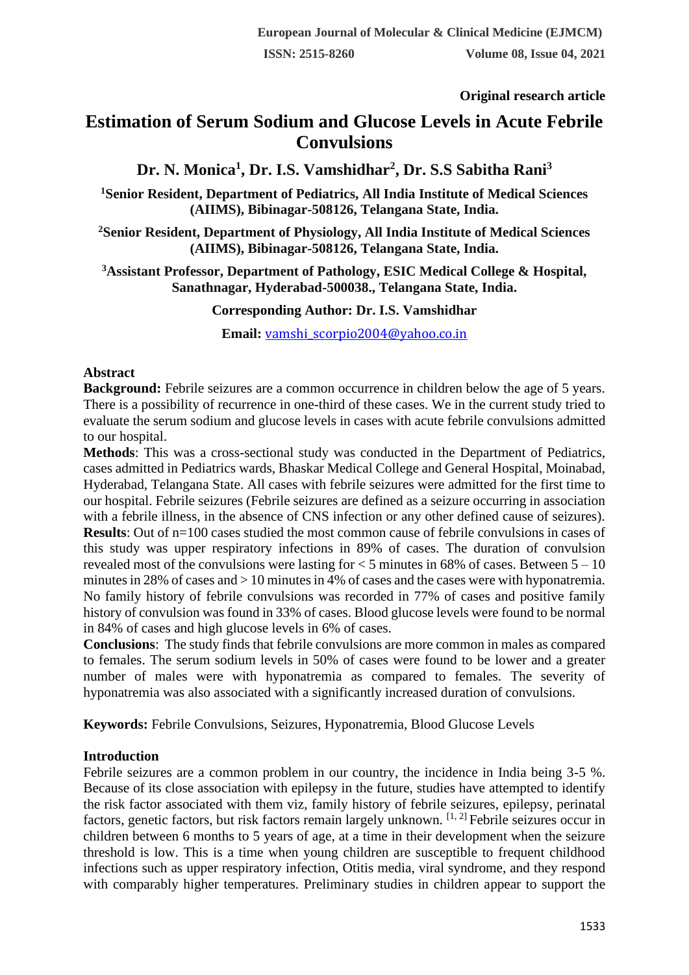**Original research article** 

# **Estimation of Serum Sodium and Glucose Levels in Acute Febrile Convulsions**

**Dr. N. Monica<sup>1</sup> , Dr. I.S. Vamshidhar<sup>2</sup> , Dr. S.S Sabitha Rani<sup>3</sup>**

**<sup>1</sup>Senior Resident, Department of Pediatrics, All India Institute of Medical Sciences (AIIMS), Bibinagar-508126, Telangana State, India.**

**<sup>2</sup>Senior Resident, Department of Physiology, All India Institute of Medical Sciences (AIIMS), Bibinagar-508126, Telangana State, India.**

**<sup>3</sup>Assistant Professor, Department of Pathology, ESIC Medical College & Hospital, Sanathnagar, Hyderabad-500038., Telangana State, India.**

**Corresponding Author: Dr. I.S. Vamshidhar**

**Email:** [vamshi\\_scorpio2004@yahoo.co.in](mailto:vamshi_scorpio2004@yahoo.co.in)

### **Abstract**

**Background:** Febrile seizures are a common occurrence in children below the age of 5 years. There is a possibility of recurrence in one-third of these cases. We in the current study tried to evaluate the serum sodium and glucose levels in cases with acute febrile convulsions admitted to our hospital.

**Methods**: This was a cross-sectional study was conducted in the Department of Pediatrics, cases admitted in Pediatrics wards, Bhaskar Medical College and General Hospital, Moinabad, Hyderabad, Telangana State. All cases with febrile seizures were admitted for the first time to our hospital. Febrile seizures (Febrile seizures are defined as a seizure occurring in association with a febrile illness, in the absence of CNS infection or any other defined cause of seizures). **Results**: Out of  $n=100$  cases studied the most common cause of febrile convulsions in cases of this study was upper respiratory infections in 89% of cases. The duration of convulsion revealed most of the convulsions were lasting for  $\lt 5$  minutes in 68% of cases. Between  $5 - 10$ minutes in 28% of cases and > 10 minutes in 4% of cases and the cases were with hyponatremia. No family history of febrile convulsions was recorded in 77% of cases and positive family history of convulsion was found in 33% of cases. Blood glucose levels were found to be normal in 84% of cases and high glucose levels in 6% of cases.

**Conclusions**: The study finds that febrile convulsions are more common in males as compared to females. The serum sodium levels in 50% of cases were found to be lower and a greater number of males were with hyponatremia as compared to females. The severity of hyponatremia was also associated with a significantly increased duration of convulsions.

**Keywords:** Febrile Convulsions, Seizures, Hyponatremia, Blood Glucose Levels

# **Introduction**

Febrile seizures are a common problem in our country, the incidence in India being 3-5 %. Because of its close association with epilepsy in the future, studies have attempted to identify the risk factor associated with them viz, family history of febrile seizures, epilepsy, perinatal factors, genetic factors, but risk factors remain largely unknown. [1, 2] Febrile seizures occur in children between 6 months to 5 years of age, at a time in their development when the seizure threshold is low. This is a time when young children are susceptible to frequent childhood infections such as upper respiratory infection, Otitis media, viral syndrome, and they respond with comparably higher temperatures. Preliminary studies in children appear to support the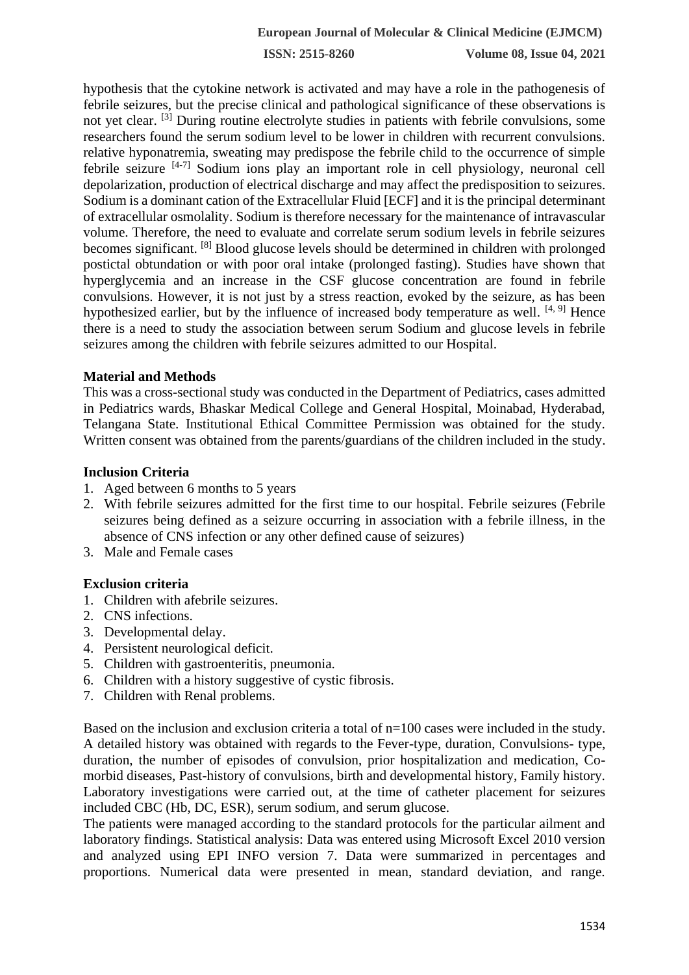**ISSN: 2515-8260 Volume 08, Issue 04, 2021**

hypothesis that the cytokine network is activated and may have a role in the pathogenesis of febrile seizures, but the precise clinical and pathological significance of these observations is not yet clear. [3] During routine electrolyte studies in patients with febrile convulsions, some researchers found the serum sodium level to be lower in children with recurrent convulsions. relative hyponatremia, sweating may predispose the febrile child to the occurrence of simple febrile seizure  $[4-7]$  Sodium ions play an important role in cell physiology, neuronal cell depolarization, production of electrical discharge and may affect the predisposition to seizures. Sodium is a dominant cation of the Extracellular Fluid [ECF] and it is the principal determinant of extracellular osmolality. Sodium is therefore necessary for the maintenance of intravascular volume. Therefore, the need to evaluate and correlate serum sodium levels in febrile seizures becomes significant. [8] Blood glucose levels should be determined in children with prolonged postictal obtundation or with poor oral intake (prolonged fasting). Studies have shown that hyperglycemia and an increase in the CSF glucose concentration are found in febrile convulsions. However, it is not just by a stress reaction, evoked by the seizure, as has been hypothesized earlier, but by the influence of increased body temperature as well.  $[4, 9]$  Hence there is a need to study the association between serum Sodium and glucose levels in febrile seizures among the children with febrile seizures admitted to our Hospital.

#### **Material and Methods**

This was a cross-sectional study was conducted in the Department of Pediatrics, cases admitted in Pediatrics wards, Bhaskar Medical College and General Hospital, Moinabad, Hyderabad, Telangana State. Institutional Ethical Committee Permission was obtained for the study. Written consent was obtained from the parents/guardians of the children included in the study.

#### **Inclusion Criteria**

- 1. Aged between 6 months to 5 years
- 2. With febrile seizures admitted for the first time to our hospital. Febrile seizures (Febrile seizures being defined as a seizure occurring in association with a febrile illness, in the absence of CNS infection or any other defined cause of seizures)
- 3. Male and Female cases

#### **Exclusion criteria**

- 1. Children with afebrile seizures.
- 2. CNS infections.
- 3. Developmental delay.
- 4. Persistent neurological deficit.
- 5. Children with gastroenteritis, pneumonia.
- 6. Children with a history suggestive of cystic fibrosis.
- 7. Children with Renal problems.

Based on the inclusion and exclusion criteria a total of  $n=100$  cases were included in the study. A detailed history was obtained with regards to the Fever-type, duration, Convulsions- type, duration, the number of episodes of convulsion, prior hospitalization and medication, Comorbid diseases, Past-history of convulsions, birth and developmental history, Family history. Laboratory investigations were carried out, at the time of catheter placement for seizures included CBC (Hb, DC, ESR), serum sodium, and serum glucose.

The patients were managed according to the standard protocols for the particular ailment and laboratory findings. Statistical analysis: Data was entered using Microsoft Excel 2010 version and analyzed using EPI INFO version 7. Data were summarized in percentages and proportions. Numerical data were presented in mean, standard deviation, and range.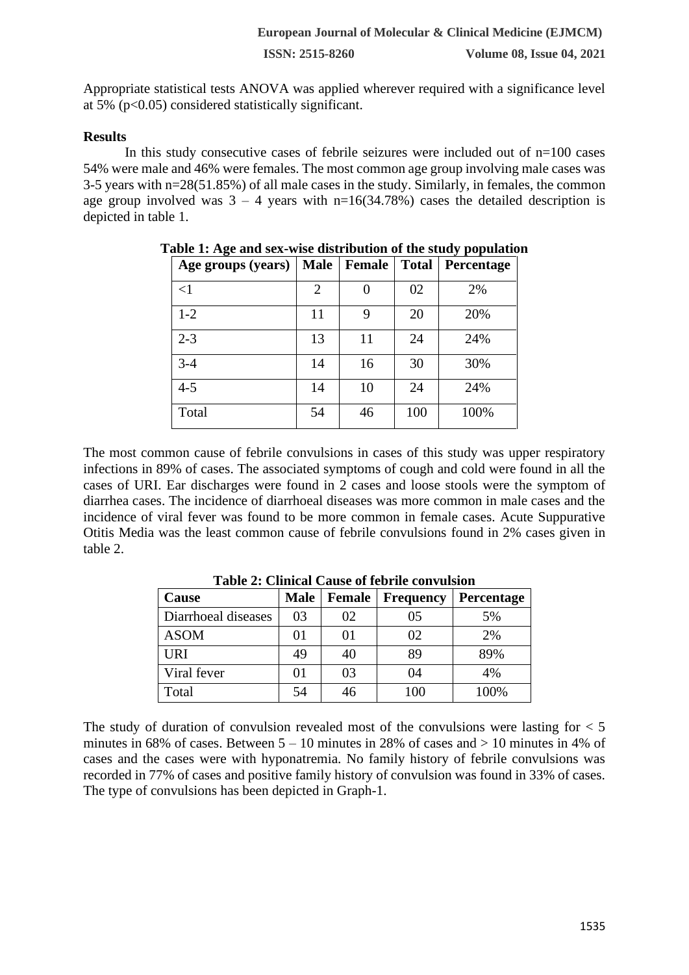Appropriate statistical tests ANOVA was applied wherever required with a significance level at 5% ( $p<0.05$ ) considered statistically significant.

## **Results**

In this study consecutive cases of febrile seizures were included out of  $n=100$  cases 54% were male and 46% were females. The most common age group involving male cases was 3-5 years with n=28(51.85%) of all male cases in the study. Similarly, in females, the common age group involved was  $3 - 4$  years with  $n=16(34.78%)$  cases the detailed description is depicted in table 1.

| Age groups (years) | <b>Male</b> | Female | <b>Total</b> | Percentage |
|--------------------|-------------|--------|--------------|------------|
| $\leq$ 1           | 2           | 0      | 02           | 2%         |
| $1 - 2$            | 11          | 9      | 20           | 20%        |
| $2 - 3$            | 13          | 11     | 24           | 24%        |
| $3-4$              | 14          | 16     | 30           | 30%        |
| $4 - 5$            | 14          | 10     | 24           | 24%        |
| Total              | 54          | 46     | 100          | 100%       |

**Table 1: Age and sex-wise distribution of the study population**

The most common cause of febrile convulsions in cases of this study was upper respiratory infections in 89% of cases. The associated symptoms of cough and cold were found in all the cases of URI. Ear discharges were found in 2 cases and loose stools were the symptom of diarrhea cases. The incidence of diarrhoeal diseases was more common in male cases and the incidence of viral fever was found to be more common in female cases. Acute Suppurative Otitis Media was the least common cause of febrile convulsions found in 2% cases given in table 2.

| Cause               | <b>Male</b> | Female | <b>Frequency</b> | Percentage |
|---------------------|-------------|--------|------------------|------------|
| Diarrhoeal diseases | 03          | 02     | 05               | 5%         |
| <b>ASOM</b>         | 01          | 01     | 02               | 2%         |
| <b>URI</b>          | 49          | 40     | 89               | 89%        |
| Viral fever         | 01          | 03     | 04               | 4%         |
| Total               | 54          | 46     | 100              | 100%       |

**Table 2: Clinical Cause of febrile convulsion**

The study of duration of convulsion revealed most of the convulsions were lasting for  $< 5$ minutes in 68% of cases. Between  $5 - 10$  minutes in 28% of cases and  $> 10$  minutes in 4% of cases and the cases were with hyponatremia. No family history of febrile convulsions was recorded in 77% of cases and positive family history of convulsion was found in 33% of cases. The type of convulsions has been depicted in Graph-1.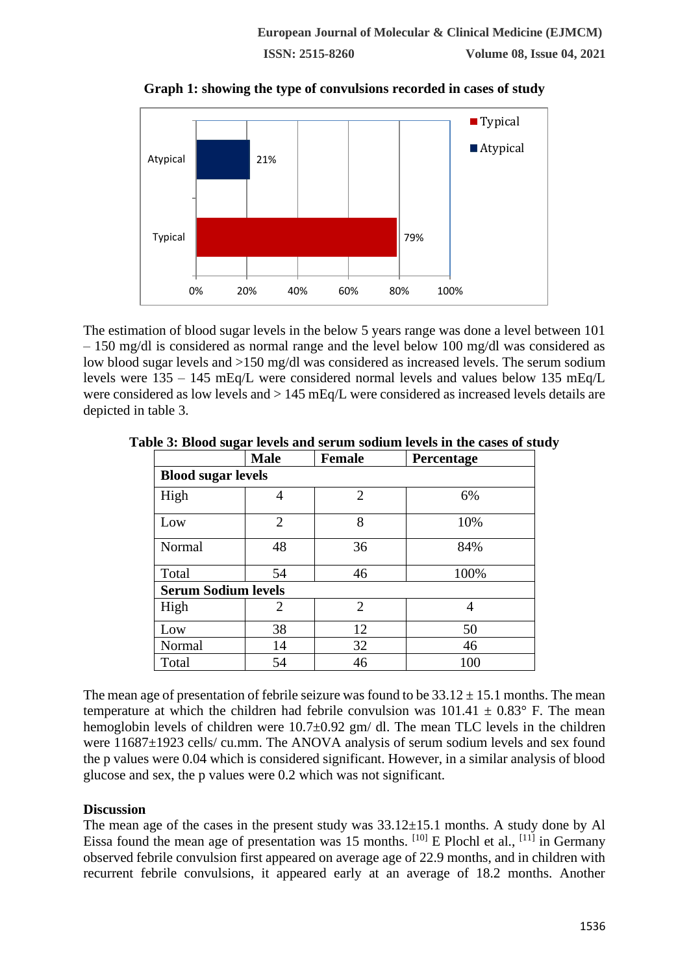**Graph 1: showing the type of convulsions recorded in cases of study**



The estimation of blood sugar levels in the below 5 years range was done a level between 101 – 150 mg/dl is considered as normal range and the level below 100 mg/dl was considered as low blood sugar levels and >150 mg/dl was considered as increased levels. The serum sodium levels were 135 – 145 mEq/L were considered normal levels and values below 135 mEq/L were considered as low levels and > 145 mEq/L were considered as increased levels details are depicted in table 3.

|                            | <b>Male</b>    | <b>Female</b>  | Percentage |  |  |  |  |
|----------------------------|----------------|----------------|------------|--|--|--|--|
| <b>Blood sugar levels</b>  |                |                |            |  |  |  |  |
| High                       | 4              | $\overline{2}$ | 6%         |  |  |  |  |
| Low                        | $\overline{2}$ | 8              | 10%        |  |  |  |  |
| Normal                     | 48             | 36             | 84%        |  |  |  |  |
| Total                      | 54             | 46             | 100%       |  |  |  |  |
| <b>Serum Sodium levels</b> |                |                |            |  |  |  |  |
| High                       | 2              | $\overline{2}$ | 4          |  |  |  |  |
| Low                        | 38             | 12             | 50         |  |  |  |  |
| Normal                     | 14             | 32             | 46         |  |  |  |  |
| Total                      | 54             | 46             | 100        |  |  |  |  |

**Table 3: Blood sugar levels and serum sodium levels in the cases of study**

The mean age of presentation of febrile seizure was found to be  $33.12 \pm 15.1$  months. The mean temperature at which the children had febrile convulsion was  $101.41 \pm 0.83$ ° F. The mean hemoglobin levels of children were  $10.7\pm0.92$  gm/ dl. The mean TLC levels in the children were 11687 $\pm$ 1923 cells/ cu.mm. The ANOVA analysis of serum sodium levels and sex found the p values were 0.04 which is considered significant. However, in a similar analysis of blood glucose and sex, the p values were 0.2 which was not significant.

# **Discussion**

The mean age of the cases in the present study was  $33.12\pm15.1$  months. A study done by Al Eissa found the mean age of presentation was 15 months.  $[10]$  E Plochl et al.,  $[11]$  in Germany observed febrile convulsion first appeared on average age of 22.9 months, and in children with recurrent febrile convulsions, it appeared early at an average of 18.2 months. Another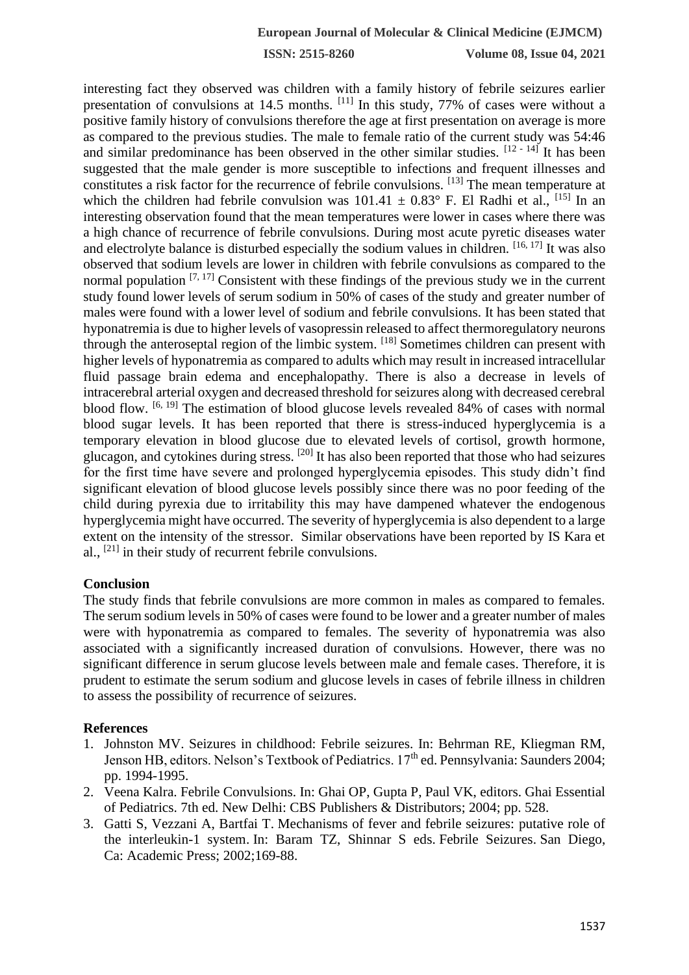**ISSN: 2515-8260 Volume 08, Issue 04, 2021**

interesting fact they observed was children with a family history of febrile seizures earlier presentation of convulsions at 14.5 months. [11] In this study, 77% of cases were without a positive family history of convulsions therefore the age at first presentation on average is more as compared to the previous studies. The male to female ratio of the current study was 54:46 and similar predominance has been observed in the other similar studies.  $[12 - 14]$  It has been suggested that the male gender is more susceptible to infections and frequent illnesses and constitutes a risk factor for the recurrence of febrile convulsions. [13] The mean temperature at which the children had febrile convulsion was  $101.41 \pm 0.83^{\circ}$  F. El Radhi et al., <sup>[15]</sup> In an interesting observation found that the mean temperatures were lower in cases where there was a high chance of recurrence of febrile convulsions. During most acute pyretic diseases water and electrolyte balance is disturbed especially the sodium values in children. [16, 17] It was also observed that sodium levels are lower in children with febrile convulsions as compared to the normal population [7, 17] Consistent with these findings of the previous study we in the current study found lower levels of serum sodium in 50% of cases of the study and greater number of males were found with a lower level of sodium and febrile convulsions. It has been stated that hyponatremia is due to higher levels of vasopressin released to affect thermoregulatory neurons through the anteroseptal region of the limbic system. [18] Sometimes children can present with higher levels of hyponatremia as compared to adults which may result in increased intracellular fluid passage brain edema and encephalopathy. There is also a decrease in levels of intracerebral arterial oxygen and decreased threshold for seizures along with decreased cerebral blood flow. [6, 19] The estimation of blood glucose levels revealed 84% of cases with normal blood sugar levels. It has been reported that there is stress-induced hyperglycemia is a temporary elevation in blood glucose due to elevated levels of cortisol, growth hormone, glucagon, and cytokines during stress. <sup>[20]</sup> It has also been reported that those who had seizures for the first time have severe and prolonged hyperglycemia episodes. This study didn't find significant elevation of blood glucose levels possibly since there was no poor feeding of the child during pyrexia due to irritability this may have dampened whatever the endogenous hyperglycemia might have occurred. The severity of hyperglycemia is also dependent to a large extent on the intensity of the stressor. Similar observations have been reported by IS Kara et al.,  $[21]$  in their study of recurrent febrile convulsions.

#### **Conclusion**

The study finds that febrile convulsions are more common in males as compared to females. The serum sodium levels in 50% of cases were found to be lower and a greater number of males were with hyponatremia as compared to females. The severity of hyponatremia was also associated with a significantly increased duration of convulsions. However, there was no significant difference in serum glucose levels between male and female cases. Therefore, it is prudent to estimate the serum sodium and glucose levels in cases of febrile illness in children to assess the possibility of recurrence of seizures.

#### **References**

- 1. Johnston MV. Seizures in childhood: Febrile seizures. In: Behrman RE, Kliegman RM, Jenson HB, editors. Nelson's Textbook of Pediatrics. 17<sup>th</sup> ed. Pennsylvania: Saunders 2004; pp. 1994-1995.
- 2. Veena Kalra. Febrile Convulsions. In: Ghai OP, Gupta P, Paul VK, editors. Ghai Essential of Pediatrics. 7th ed. New Delhi: CBS Publishers & Distributors; 2004; pp. 528.
- 3. Gatti S, Vezzani A, Bartfai T. Mechanisms of fever and febrile seizures: putative role of the interleukin-1 system. In: Baram TZ, Shinnar S eds. Febrile Seizures. San Diego, Ca: Academic Press; 2002;169-88.